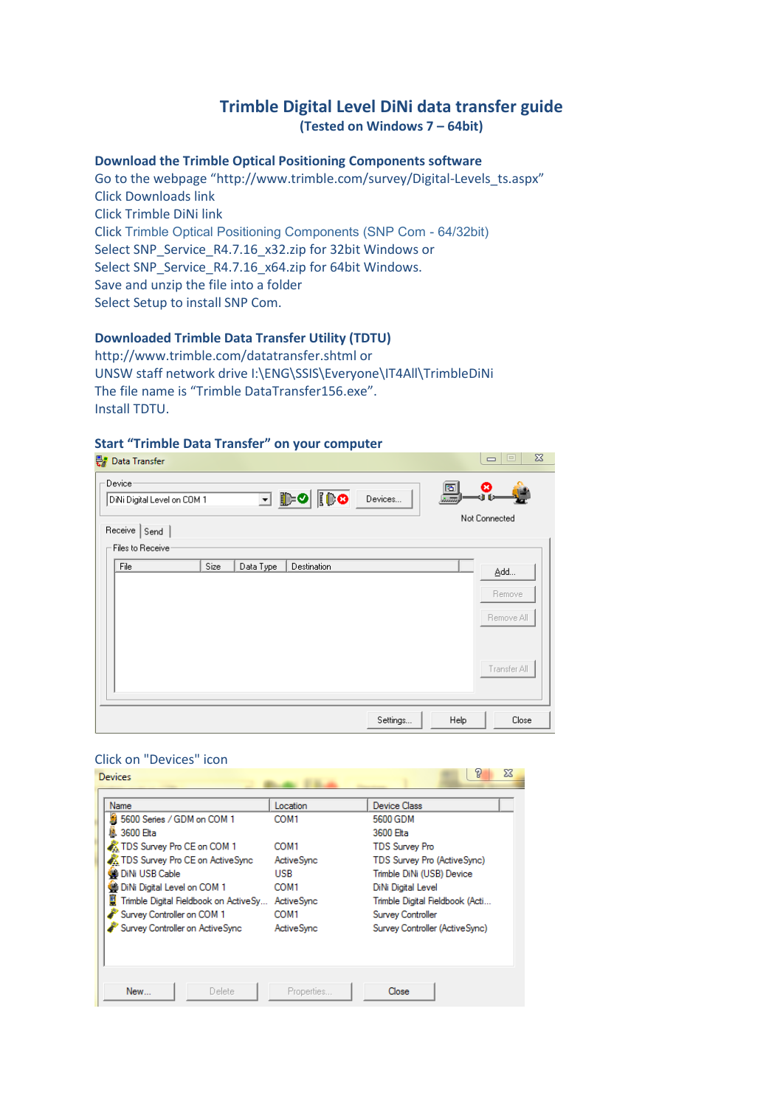# **Trimble Digital Level DiNi data transfer guide (Tested on Windows 7 – 64bit)**

#### **Download the Trimble Optical Positioning Components software**

Go to the webpage "http://www.trimble.com/survey/Digital-Levels\_ts.aspx" Click Downloads link Click Trimble DiNi link Click Trimble Optical Positioning Components (SNP Com - 64/32bit) Select SNP\_Service\_R4.7.16\_x32.zip for 32bit Windows or Select SNP\_Service\_R4.7.16\_x64.zip for 64bit Windows. Save and unzip the file into a folder Select Setup to install SNP Com.

## **Downloaded Trimble Data Transfer Utility (TDTU)**

http://www.trimble.com/datatransfer.shtml or UNSW staff network drive I:\ENG\SSIS\Everyone\IT4All\TrimbleDiNi The file name is "Trimble DataTransfer156.exe". Install TDTU.

#### **Start "Trimble Data Transfer" on your computer**

| 鄂<br>Data Transfer                                                                                                             | $\Sigma$<br>$=$<br>$\qquad \qquad \Box$     |
|--------------------------------------------------------------------------------------------------------------------------------|---------------------------------------------|
| Device<br>IDO<br>$\overline{\mathbb{F}}$ defined<br>Devices<br>DiNi Digital Level on COM 1<br>Receive Send<br>Files to Receive | ◎<br>圆<br>si fi<br>Not Connected            |
| File<br>Size<br>Data Type<br>Destination                                                                                       | Add<br>Remove<br>Remove All<br>Transfer All |
| Settings                                                                                                                       | Help<br>Close                               |

## Click on "Devices" icon

| Devices                                                                                                                                                                                                                                                                                    |                                                                                                                                   | 힣<br>X                                                                                                                                                                                                                                             |
|--------------------------------------------------------------------------------------------------------------------------------------------------------------------------------------------------------------------------------------------------------------------------------------------|-----------------------------------------------------------------------------------------------------------------------------------|----------------------------------------------------------------------------------------------------------------------------------------------------------------------------------------------------------------------------------------------------|
| Name<br>鵬 5600 Series / GDM on COM 1<br>LA 3600 Elta<br>TDS Survey Pro CE on COM 1<br>TDS Survey Pro CE on Active Sync<br><b>ODINI USB Cable</b><br>DiNi Digital Level on COM 1<br>Trimble Digital Fieldbook on ActiveSy<br>Survey Controller on COM 1<br>Survey Controller on Active Sync | Location<br>COM <sub>1</sub><br>COM1<br><b>ActiveSync</b><br><b>USB</b><br>COM1<br>Active Sync<br>COM <sub>1</sub><br>Active Sync | Device Class<br>5600 GDM<br>3600 Elta<br><b>TDS Survey Pro</b><br>TDS Survey Pro (ActiveSync)<br>Trimble DiNi (USB) Device<br>DiNi Digital Level<br>Trimble Digital Fieldbook (Acti<br><b>Survey Controller</b><br>Survey Controller (Active Sync) |
| New<br>Delete                                                                                                                                                                                                                                                                              | Properties                                                                                                                        | Close                                                                                                                                                                                                                                              |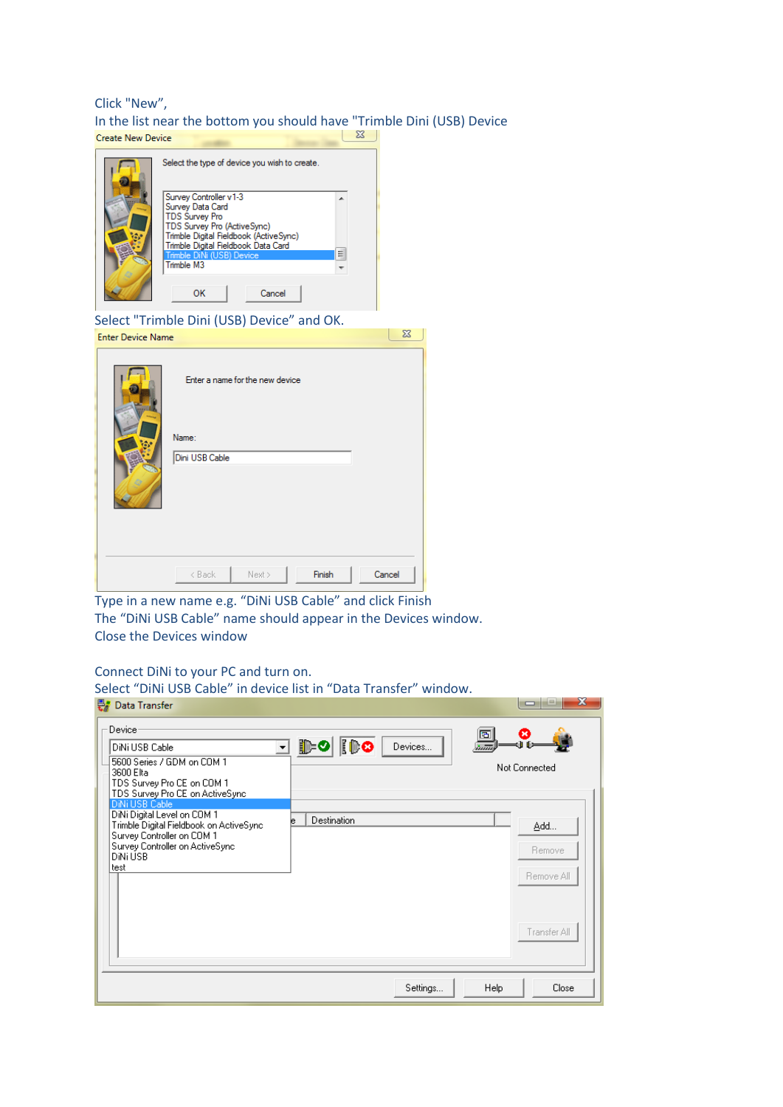# Click "New", In the list near the bottom you should have "Trimble Dini (USB) Device

| Create New Device        |                                                                                                                                                                                                                                                                                                        |        |        |
|--------------------------|--------------------------------------------------------------------------------------------------------------------------------------------------------------------------------------------------------------------------------------------------------------------------------------------------------|--------|--------|
|                          | Select the type of device you wish to create.<br>Survey Controller v1-3<br>Survey Data Card<br><b>TDS Survey Pro</b><br>TDS Survey Pro (ActiveSync)<br>Trimble Digital Fieldbook (ActiveSync)<br>Trimble Digital Fieldbook Data Card<br>Trimble DiNi (USB) Device<br>Trimble M3<br>Cancel<br><b>OK</b> | ▲<br>Ξ |        |
|                          | Select "Trimble Dini (USB) Device" and OK.                                                                                                                                                                                                                                                             |        |        |
| <b>Enter Device Name</b> |                                                                                                                                                                                                                                                                                                        |        | X      |
|                          | Enter a name for the new device<br>Name:<br>Dini USB Cable                                                                                                                                                                                                                                             |        |        |
|                          | < Back<br>Next >                                                                                                                                                                                                                                                                                       | Finish | Cancel |

Type in a new name e.g. "DiNi USB Cable" and click Finish The "DiNi USB Cable" name should appear in the Devices window. Close the Devices window

## Connect DiNi to your PC and turn on.

| $\frac{1}{2}$<br>Data Transfer<br>₩                                                                                                                                                                                                                                                                                    | Select "DiNi USB Cable" in device list in "Data Transfer" window. | x<br>$\Box$                                               |
|------------------------------------------------------------------------------------------------------------------------------------------------------------------------------------------------------------------------------------------------------------------------------------------------------------------------|-------------------------------------------------------------------|-----------------------------------------------------------|
| Device<br>DiNi USB Cable<br>5600 Series / GDM on COM 1<br>3600 Elta<br>TDS Survey Pro CE on COM 1<br>TDS Survey Pro CE on ActiveSync<br>DiNi USB Cable<br>DiNi Digital Level on COM 1<br>Trimble Digital Fieldbook on ActiveSync.<br>Survey Controller on COM 1<br>Survey Controller on ActiveSync<br>DiNi USB<br>test | <b>IDO</b><br>β⊱о<br>Devices<br>▾╎<br>Destination                 | 固<br>inīñ<br>Not Connected<br>Add<br>Remove<br>Remove All |
|                                                                                                                                                                                                                                                                                                                        | Settings                                                          | Transfer All<br>Close<br>Help                             |